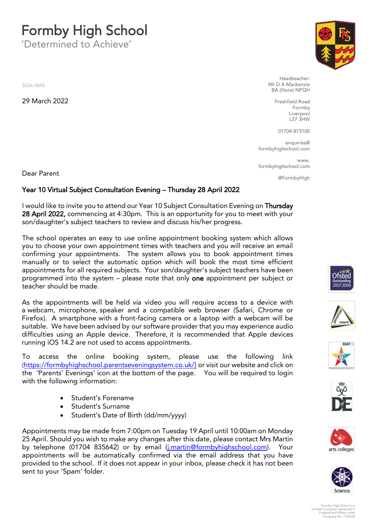## **Formby High School**<br>Determined to Achieve'

'Determined to Achieve'

SGA/JMA

29 March 2022 29 March 2022

Dear Parent



Headteacher:<br>Mr D A Mackenzie RA (Hons) NPOH  $\mathbb{R}^n$  (hospitalized in  $\mathbb{R}^n$ )

> Freshfield Road Liverpool  $L37$   $3HW$

01704 873100

 $P$ nguiries  $@$ en<br>School com formbyhighschool.com

www. l com formbyhighschool.com

@FormbyHigh

## Year 10 Virtual Subject Consultation Evening – Thursday 28 April 2022

I would like to invite you to attend our Year 10 Subject Consultation Evening on Thursday 28 April 2022, commencing at 4:30pm. This is an opportunity for you to meet with your 28 April 2022, commencing at 4:30pm. The 4:30pm. The 4:30pm. The 4:30pm. The 4:30pm. The 4:30pm. This is an opportunity for the 4:30pm. This is defined with your to meet with your to meet with your to meet with you to meet son/daughter's subject teachers to review and discuss his/her progress.

The school operates an easy to use online appointment booking system which allows you to choose your own appointment times with teachers and you will receive an email confirming your appointments. The system allows you to book appointment times manually or to select the automatic option which will book the most time efficient appointments for all required subjects. Your son/daughter's subject teachers have been  $\frac{1}{2}$  required into the system  $\frac{1}{2}$  represents that only one appointment per subject or programmed into the system of the system of the system per subject of the system of the system of the person of the system of the system of the system of the system of the system of the system of the system of the system o teacher should be made.

As the appointments will be held via video you will require access to a device with a webcam, microphone, speaker and a compatible web browser (Safari, Chrome or Firefox). A smartphone with a front-facing camera or a laptop with a webcam will be suitable. We have been advised by our software provider that you may experience audio difficulties using an Apple device. Therefore, it is recommended that Apple devices different terms and positive therefore, it is recommended that Apple devices running iOS 14.2 are not used to access appointments.

[To access the online booking system, please](https://formbyhighschool.parentseveningsystem.co.uk/) use the following link<br>(https://formbyhighschool.parentseveningsystem.co.uk/) or visit our website and click on the 'Parents' Evenings' icon at the bottom of the page. You will be required to login with the following information: with the following information:

- Student's Forename
- Student's Surname
- Student's Date of Birth (dd/mm/yyyy)

Appointments may be made from 7:00pm on Tuesday 19 April until 10:00am on Monday by telephone (01704 835642) or by email (j.martin@formbyhighschool.com). Your appointments will be automatically confirmed via the email address that you have provided to the school. If it does not appear in your inbox, please check it has not been provided to the school. If it does not appear in your interesting to the check it has not been check it has no<br>sent to your 'Spam' folder sent to your 'Spam' folder.













Formby High School is a Limited Company registered in England and Wales under Company No. 7724342